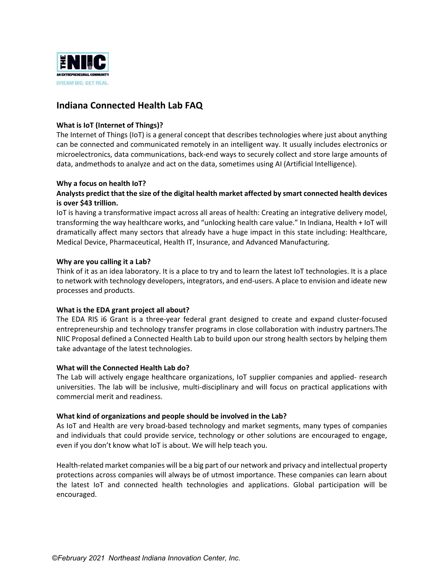

# **Indiana Connected Health Lab FAQ**

## **What is IoT (Internet of Things)?**

The Internet of Things (IoT) is a general concept that describes technologies where just about anything can be connected and communicated remotely in an intelligent way. It usually includes electronics or microelectronics, data communications, back‐end ways to securely collect and store large amounts of data, andmethods to analyze and act on the data, sometimes using AI (Artificial Intelligence).

### **Why a focus on health IoT?**

# **Analysts predict that the size of the digital health market affected by smart connected health devices is over \$43 trillion.**

IoT is having a transformative impact across all areas of health: Creating an integrative delivery model, transforming the way healthcare works, and "unlocking health care value." In Indiana, Health + IoT will dramatically affect many sectors that already have a huge impact in this state including: Healthcare, Medical Device, Pharmaceutical, Health IT, Insurance, and Advanced Manufacturing.

### **Why are you calling it a Lab?**

Think of it as an idea laboratory. It is a place to try and to learn the latest IoT technologies. It is a place to network with technology developers, integrators, and end‐users. A place to envision and ideate new processes and products.

### **What is the EDA grant project all about?**

The EDA RIS i6 Grant is a three-year federal grant designed to create and expand cluster-focused entrepreneurship and technology transfer programs in close collaboration with industry partners.The NIIC Proposal defined a Connected Health Lab to build upon our strong health sectors by helping them take advantage of the latest technologies.

### **What will the Connected Health Lab do?**

The Lab will actively engage healthcare organizations, IoT supplier companies and applied‐ research universities. The lab will be inclusive, multi‐disciplinary and will focus on practical applications with commercial merit and readiness.

### **What kind of organizations and people should be involved in the Lab?**

As IoT and Health are very broad‐based technology and market segments, many types of companies and individuals that could provide service, technology or other solutions are encouraged to engage, even if you don't know what IoT is about. We will help teach you.

Health-related market companies will be a big part of our network and privacy and intellectual property protections across companies will always be of utmost importance. These companies can learn about the latest IoT and connected health technologies and applications. Global participation will be encouraged.